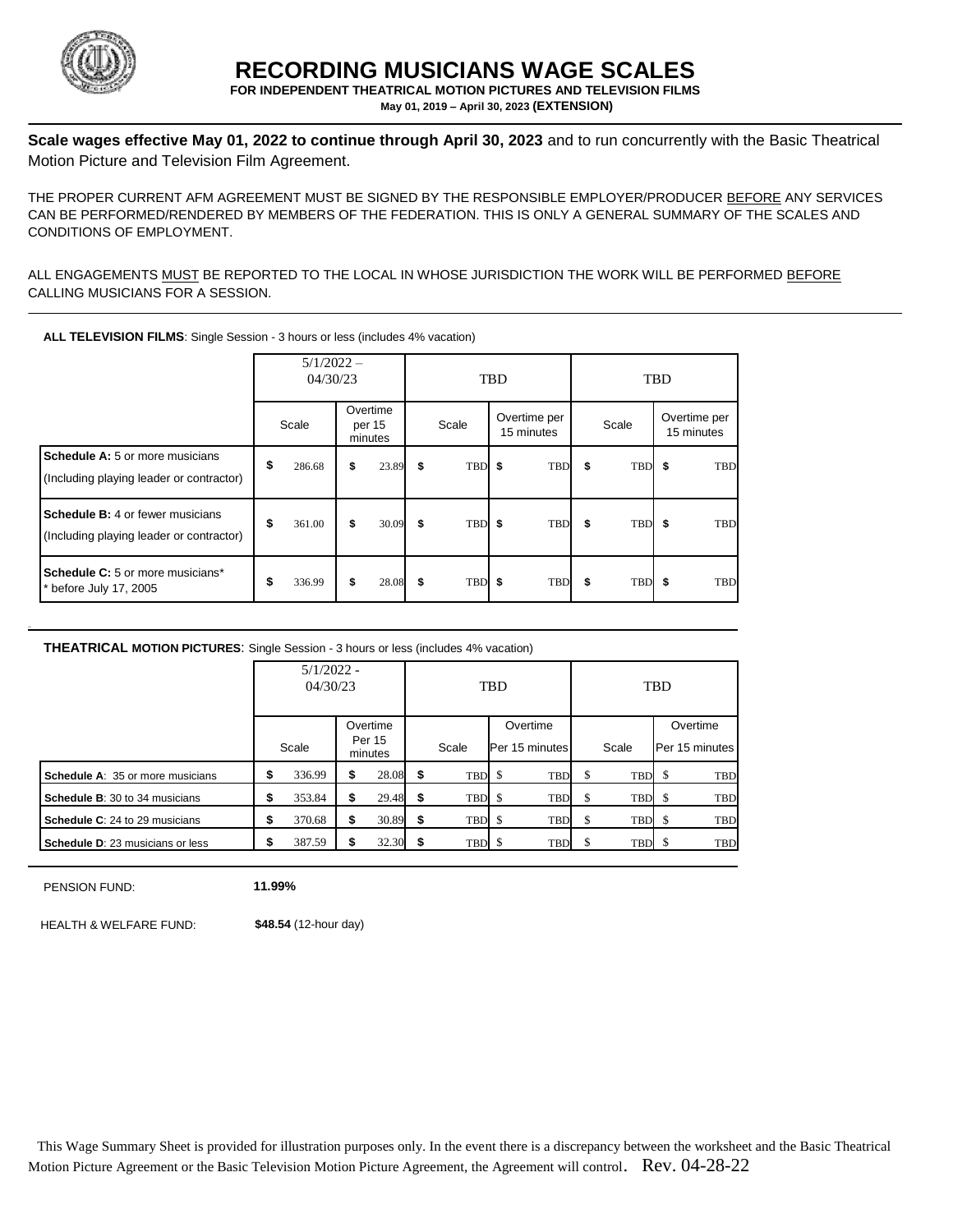

# **RECORDING MUSICIANS WAGE SCALES**

**FOR INDEPENDENT THEATRICAL MOTION PICTURES AND TELEVISION FILMS May 01, 2019 – April 30, 2023 (EXTENSION)**

**Scale wages effective May 01, 2022 to continue through April 30, 2023** and to run concurrently with the Basic Theatrical Motion Picture and Television Film Agreement.

THE PROPER CURRENT AFM AGREEMENT MUST BE SIGNED BY THE RESPONSIBLE EMPLOYER/PRODUCER BEFORE ANY SERVICES CAN BE PERFORMED/RENDERED BY MEMBERS OF THE FEDERATION. THIS IS ONLY A GENERAL SUMMARY OF THE SCALES AND CONDITIONS OF EMPLOYMENT.

ALL ENGAGEMENTS MUST BE REPORTED TO THE LOCAL IN WHOSE JURISDICTION THE WORK WILL BE PERFORMED BEFORE CALLING MUSICIANS FOR A SESSION.

**ALL TELEVISION FILMS**: Single Session - 3 hours or less (includes 4% vacation)

|                                                                                     | $5/1/2022 -$<br>04/30/23 |        | <b>TBD</b>                    |    |                   | TBD |                            |    |       |    |                            |
|-------------------------------------------------------------------------------------|--------------------------|--------|-------------------------------|----|-------------------|-----|----------------------------|----|-------|----|----------------------------|
|                                                                                     |                          | Scale  | Overtime<br>per 15<br>minutes |    | Scale             |     | Overtime per<br>15 minutes |    | Scale |    | Overtime per<br>15 minutes |
| <b>Schedule A:</b> 5 or more musicians<br>(Including playing leader or contractor)  | \$                       | 286.68 | \$<br>23.89                   | \$ | TBD               | \$  | TBD                        | \$ | TBD   | \$ | <b>TBD</b>                 |
| <b>Schedule B: 4 or fewer musicians</b><br>(Including playing leader or contractor) | \$                       | 361.00 | \$<br>30.09                   | \$ | TBD               | \$  | <b>TBD</b>                 | \$ | TBD   | \$ | <b>TBD</b>                 |
| Schedule C: 5 or more musicians*<br>* before July 17, 2005                          | \$                       | 336.99 | \$<br>28.08                   | \$ | TBD <sub>\$</sub> |     | <b>TBD</b>                 | \$ | TBD   | \$ | TBD                        |

#### **THEATRICAL MOTION PICTURES**: Single Session - 3 hours or less (includes 4% vacation)

|                                         | $5/1/2022 -$<br>04/30/23 |        |                                      |    | <b>TBD</b> |    |                            |    | <b>TBD</b> |    |                            |
|-----------------------------------------|--------------------------|--------|--------------------------------------|----|------------|----|----------------------------|----|------------|----|----------------------------|
|                                         |                          | Scale  | Overtime<br><b>Per 15</b><br>minutes |    | Scale      |    | Overtime<br>Per 15 minutes |    | Scale      |    | Overtime<br>Per 15 minutes |
| <b>Schedule A:</b> 35 or more musicians | \$                       | 336.99 | 28.08                                | \$ | <b>TBD</b> | -S | <b>TBD</b>                 | S. | TBD        | \$ | TBD                        |
| <b>Schedule B: 30 to 34 musicians</b>   | 5                        | 353.84 | 29.48                                | \$ | <b>TBD</b> | -S | <b>TBD</b>                 | S  | TBD        | \$ | TBD                        |
| <b>Schedule C: 24 to 29 musicians</b>   | \$                       | 370.68 | 30.89                                | \$ | <b>TBD</b> | -S | <b>TBD</b>                 | S  | <b>TBD</b> | \$ | TBD                        |
| <b>Schedule D: 23 musicians or less</b> | \$                       | 387.59 | 32.30                                | S  | <b>TBD</b> | -S | <b>TBD</b>                 |    | TBD        | \$ | TBD                        |

PENSION FUND: **11.99%**

HEALTH & WELFARE FUND: **\$48.54** (12-hour day)

 This Wage Summary Sheet is provided for illustration purposes only. In the event there is a discrepancy between the worksheet and the Basic Theatrical Motion Picture Agreement or the Basic Television Motion Picture Agreement, the Agreement will control. Rev. 04-28-22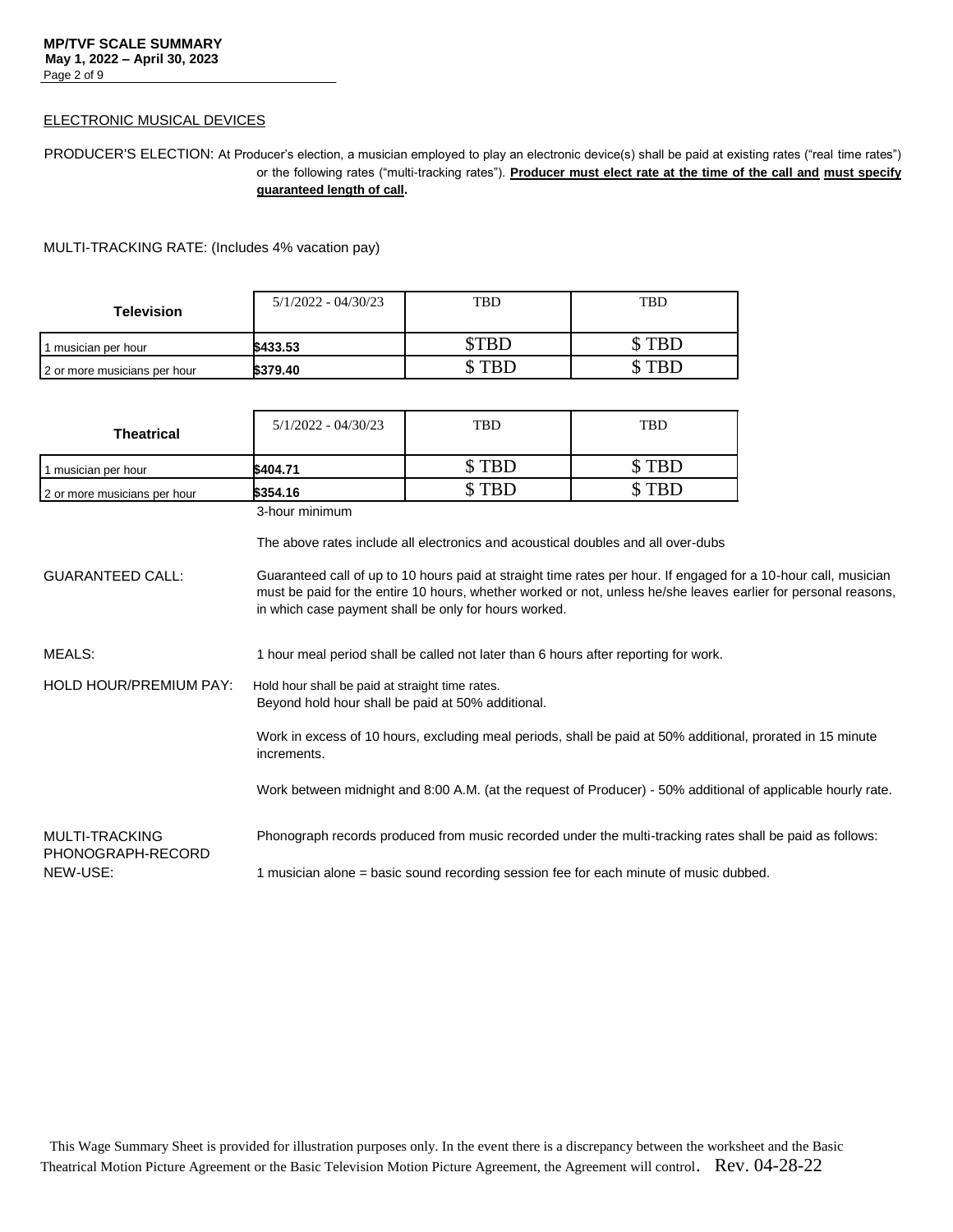#### ELECTRONIC MUSICAL DEVICES

PRODUCER'S ELECTION: At Producer's election, a musician employed to play an electronic device(s) shall be paid at existing rates ("real time rates") or the following rates ("multi-tracking rates"). **Producer must elect rate at the time of the call and must specify guaranteed length of call.**

MULTI-TRACKING RATE: (Includes 4% vacation pay)

| <b>Television</b>            | 5/1/2022 - 04/30/23 | <b>TBD</b> | TBD |  |  |
|------------------------------|---------------------|------------|-----|--|--|
| 1 musician per hour          | \$433.53            |            |     |  |  |
| 2 or more musicians per hour | \$379.40            |            |     |  |  |

| <b>Theatrical</b>                   | $5/1/2022 - 04/30/23$                                                                                                                                                                                                                                                                                                                                                                             | <b>TBD</b>                                                                                                   | <b>TBD</b> |  |  |  |  |  |  |  |
|-------------------------------------|---------------------------------------------------------------------------------------------------------------------------------------------------------------------------------------------------------------------------------------------------------------------------------------------------------------------------------------------------------------------------------------------------|--------------------------------------------------------------------------------------------------------------|------------|--|--|--|--|--|--|--|
| 1 musician per hour                 | \$404.71                                                                                                                                                                                                                                                                                                                                                                                          | \$TBD                                                                                                        | \$TBD      |  |  |  |  |  |  |  |
| 2 or more musicians per hour        | \$354.16                                                                                                                                                                                                                                                                                                                                                                                          | \$TBD                                                                                                        | \$TBD      |  |  |  |  |  |  |  |
| <b>GUARANTEED CALL:</b>             | 3-hour minimum<br>The above rates include all electronics and acoustical doubles and all over-dubs<br>Guaranteed call of up to 10 hours paid at straight time rates per hour. If engaged for a 10-hour call, musician<br>must be paid for the entire 10 hours, whether worked or not, unless he/she leaves earlier for personal reasons,<br>in which case payment shall be only for hours worked. |                                                                                                              |            |  |  |  |  |  |  |  |
| MEALS:                              |                                                                                                                                                                                                                                                                                                                                                                                                   | 1 hour meal period shall be called not later than 6 hours after reporting for work.                          |            |  |  |  |  |  |  |  |
| <b>HOLD HOUR/PREMIUM PAY:</b>       | Hold hour shall be paid at straight time rates.<br>Beyond hold hour shall be paid at 50% additional.                                                                                                                                                                                                                                                                                              |                                                                                                              |            |  |  |  |  |  |  |  |
|                                     | Work in excess of 10 hours, excluding meal periods, shall be paid at 50% additional, prorated in 15 minute<br>increments.                                                                                                                                                                                                                                                                         |                                                                                                              |            |  |  |  |  |  |  |  |
|                                     |                                                                                                                                                                                                                                                                                                                                                                                                   | Work between midnight and 8:00 A.M. (at the request of Producer) - 50% additional of applicable hourly rate. |            |  |  |  |  |  |  |  |
| MULTI-TRACKING<br>PHONOGRAPH-RECORD | Phonograph records produced from music recorded under the multi-tracking rates shall be paid as follows:                                                                                                                                                                                                                                                                                          |                                                                                                              |            |  |  |  |  |  |  |  |
| NEW-USE:                            | 1 musician alone = basic sound recording session fee for each minute of music dubbed.                                                                                                                                                                                                                                                                                                             |                                                                                                              |            |  |  |  |  |  |  |  |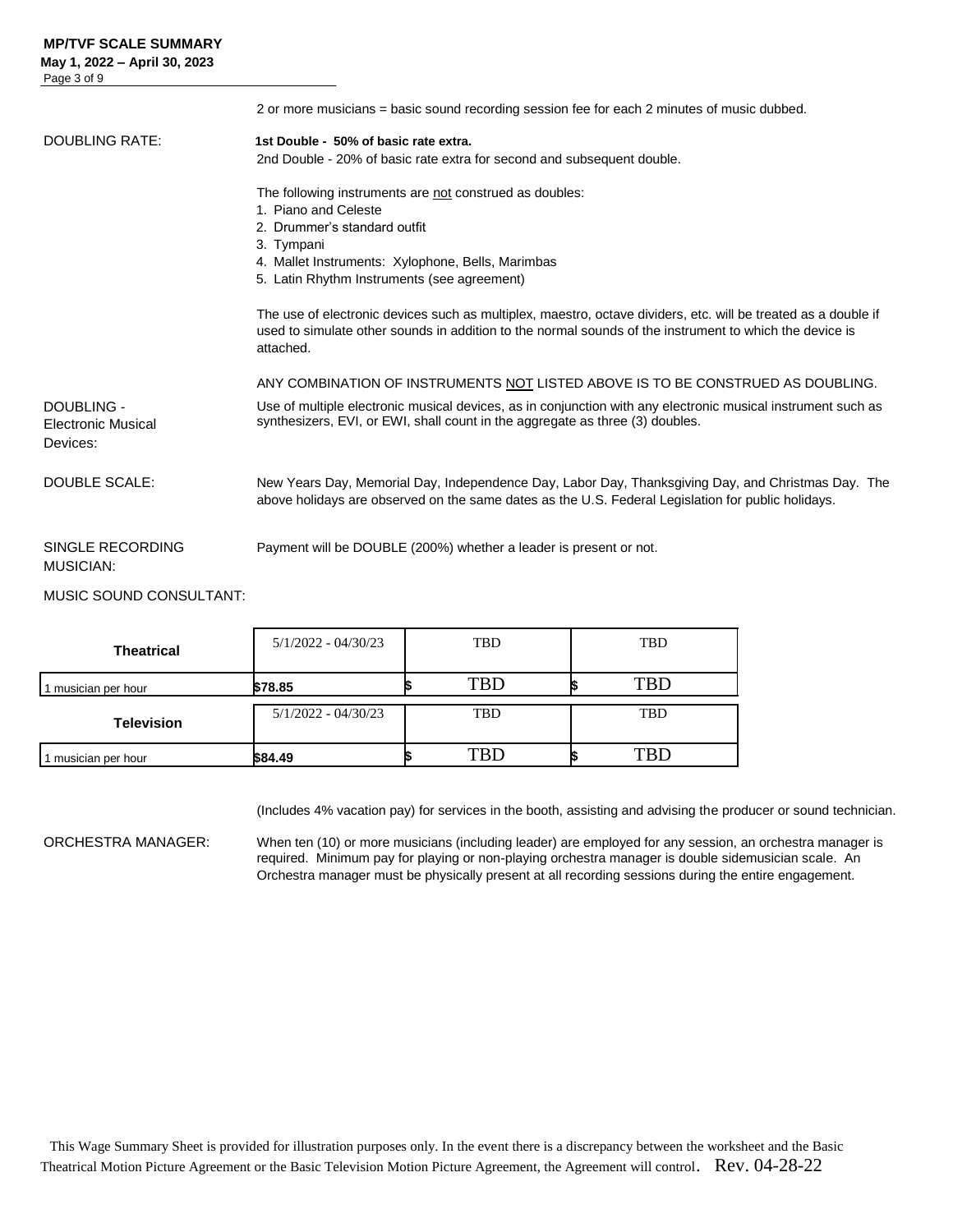**May 1, 2022 – April 30, 2023** Page 3 of 9

|                                                     | 2 or more musicians = basic sound recording session fee for each 2 minutes of music dubbed.                                                                                                                                            |
|-----------------------------------------------------|----------------------------------------------------------------------------------------------------------------------------------------------------------------------------------------------------------------------------------------|
| DOUBLING RATE:                                      | 1st Double - 50% of basic rate extra.                                                                                                                                                                                                  |
|                                                     | 2nd Double - 20% of basic rate extra for second and subsequent double.                                                                                                                                                                 |
|                                                     | The following instruments are not construed as doubles:                                                                                                                                                                                |
|                                                     | 1. Piano and Celeste                                                                                                                                                                                                                   |
|                                                     | 2. Drummer's standard outfit                                                                                                                                                                                                           |
|                                                     | 3. Tympani                                                                                                                                                                                                                             |
|                                                     | 4. Mallet Instruments: Xylophone, Bells, Marimbas                                                                                                                                                                                      |
|                                                     | 5. Latin Rhythm Instruments (see agreement)                                                                                                                                                                                            |
|                                                     | The use of electronic devices such as multiplex, maestro, octave dividers, etc. will be treated as a double if<br>used to simulate other sounds in addition to the normal sounds of the instrument to which the device is<br>attached. |
|                                                     | ANY COMBINATION OF INSTRUMENTS NOT LISTED ABOVE IS TO BE CONSTRUED AS DOUBLING.                                                                                                                                                        |
| DOUBLING -<br><b>Electronic Musical</b><br>Devices: | Use of multiple electronic musical devices, as in conjunction with any electronic musical instrument such as<br>synthesizers, EVI, or EWI, shall count in the aggregate as three (3) doubles.                                          |
| <b>DOUBLE SCALE:</b>                                | New Years Day, Memorial Day, Independence Day, Labor Day, Thanksgiving Day, and Christmas Day. The<br>above holidays are observed on the same dates as the U.S. Federal Legislation for public holidays.                               |
| SINGLE RECORDING<br><b>MUSICIAN:</b>                | Payment will be DOUBLE (200%) whether a leader is present or not.                                                                                                                                                                      |
| $\cdots$                                            |                                                                                                                                                                                                                                        |

#### MUSIC SOUND CONSULTANT:

| <b>Theatrical</b>   | $5/1/2022 - 04/30/23$ | <b>TBD</b> | <b>TBD</b> |
|---------------------|-----------------------|------------|------------|
| 1 musician per hour | \$78.85               | <b>TBD</b> | <b>TBD</b> |
| <b>Television</b>   | $5/1/2022 - 04/30/23$ | <b>TBD</b> | <b>TBD</b> |
| 1 musician per hour | \$84.49               | TBD.       | TBD-       |

(Includes 4% vacation pay) for services in the booth, assisting and advising the producer or sound technician.

ORCHESTRA MANAGER: When ten (10) or more musicians (including leader) are employed for any session, an orchestra manager is required. Minimum pay for playing or non-playing orchestra manager is double sidemusician scale. An Orchestra manager must be physically present at all recording sessions during the entire engagement.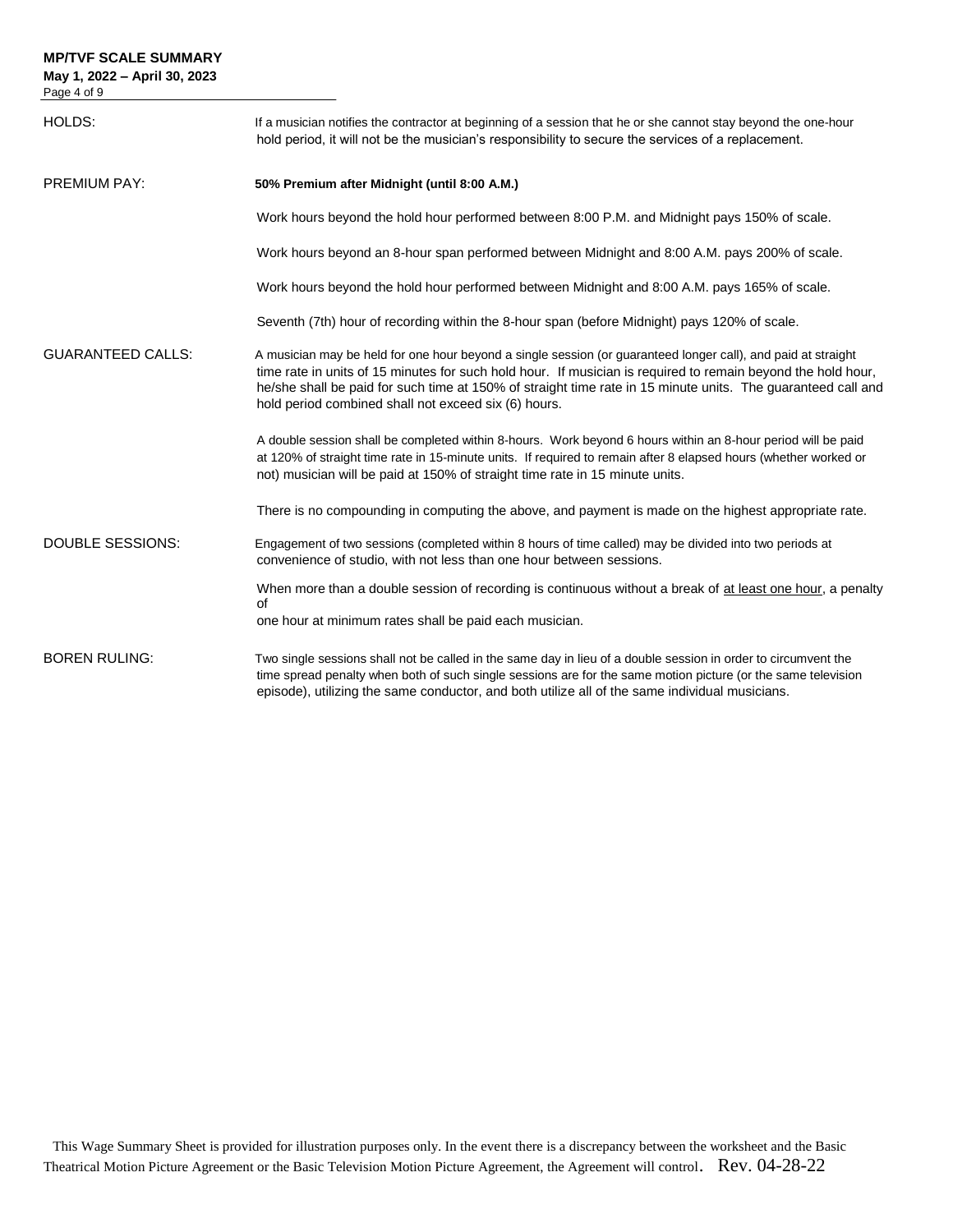| <b>MP/TVF SCALE SUMMARY</b><br>May 1, 2022 - April 30, 2023<br>Page 4 of 9 |                                                                                                                                                                                                                                                                                                                                                                                                       |
|----------------------------------------------------------------------------|-------------------------------------------------------------------------------------------------------------------------------------------------------------------------------------------------------------------------------------------------------------------------------------------------------------------------------------------------------------------------------------------------------|
| HOLDS:                                                                     | If a musician notifies the contractor at beginning of a session that he or she cannot stay beyond the one-hour<br>hold period, it will not be the musician's responsibility to secure the services of a replacement.                                                                                                                                                                                  |
| <b>PREMIUM PAY:</b>                                                        | 50% Premium after Midnight (until 8:00 A.M.)                                                                                                                                                                                                                                                                                                                                                          |
|                                                                            | Work hours beyond the hold hour performed between 8:00 P.M. and Midnight pays 150% of scale.                                                                                                                                                                                                                                                                                                          |
|                                                                            | Work hours beyond an 8-hour span performed between Midnight and 8:00 A.M. pays 200% of scale.                                                                                                                                                                                                                                                                                                         |
|                                                                            | Work hours beyond the hold hour performed between Midnight and 8:00 A.M. pays 165% of scale.                                                                                                                                                                                                                                                                                                          |
|                                                                            | Seventh (7th) hour of recording within the 8-hour span (before Midnight) pays 120% of scale.                                                                                                                                                                                                                                                                                                          |
| <b>GUARANTEED CALLS:</b>                                                   | A musician may be held for one hour beyond a single session (or guaranteed longer call), and paid at straight<br>time rate in units of 15 minutes for such hold hour. If musician is required to remain beyond the hold hour,<br>he/she shall be paid for such time at 150% of straight time rate in 15 minute units. The guaranteed call and<br>hold period combined shall not exceed six (6) hours. |
|                                                                            | A double session shall be completed within 8-hours. Work beyond 6 hours within an 8-hour period will be paid<br>at 120% of straight time rate in 15-minute units. If required to remain after 8 elapsed hours (whether worked or<br>not) musician will be paid at 150% of straight time rate in 15 minute units.                                                                                      |
|                                                                            | There is no compounding in computing the above, and payment is made on the highest appropriate rate.                                                                                                                                                                                                                                                                                                  |
| <b>DOUBLE SESSIONS:</b>                                                    | Engagement of two sessions (completed within 8 hours of time called) may be divided into two periods at<br>convenience of studio, with not less than one hour between sessions.                                                                                                                                                                                                                       |
|                                                                            | When more than a double session of recording is continuous without a break of at least one hour, a penalty<br>οf<br>one hour at minimum rates shall be paid each musician.                                                                                                                                                                                                                            |
| <b>BOREN RULING:</b>                                                       | Two single sessions shall not be called in the same day in lieu of a double session in order to circumvent the<br>time spread penalty when both of such single sessions are for the same motion picture (or the same television<br>episode), utilizing the same conductor, and both utilize all of the same individual musicians.                                                                     |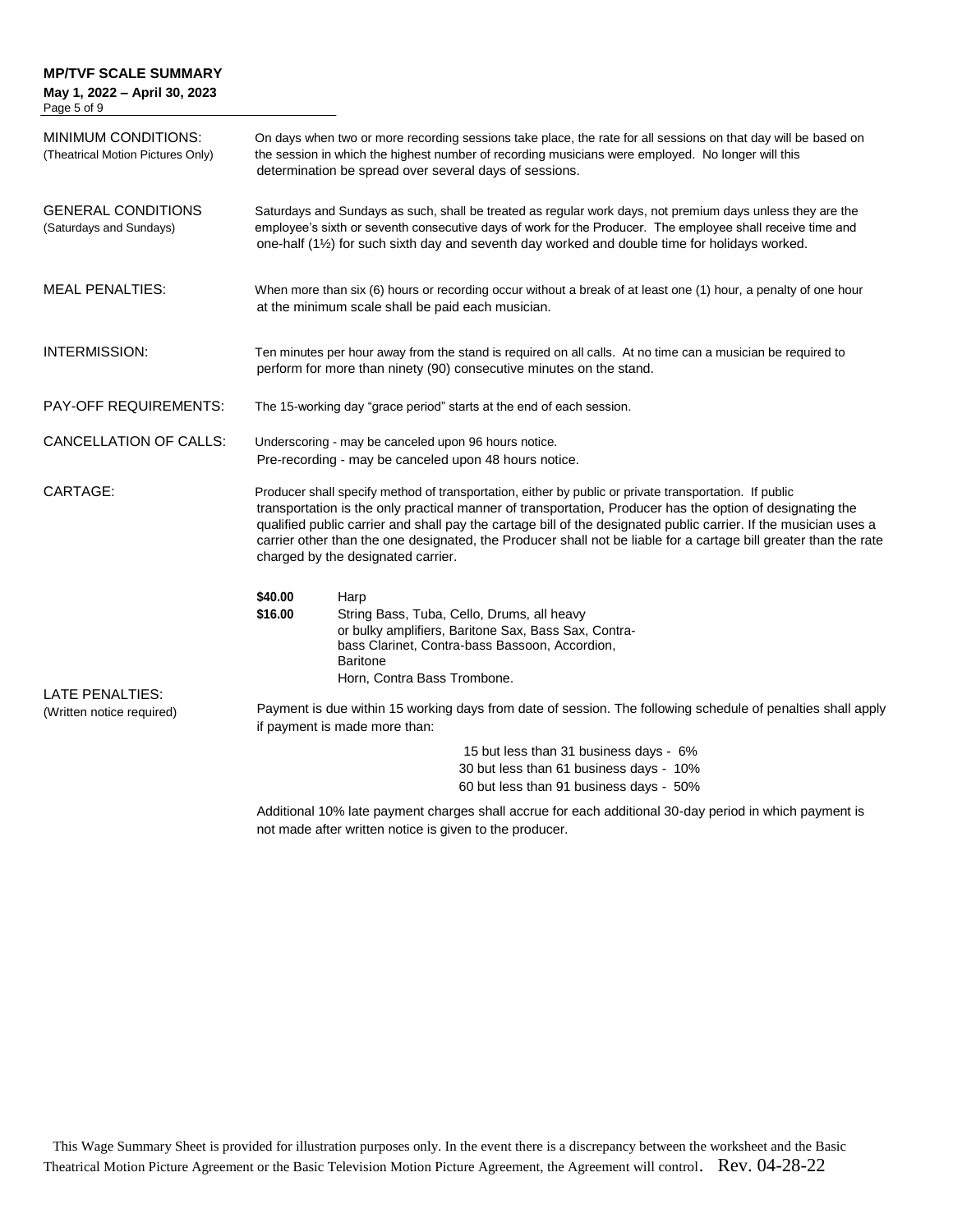**May 1, 2022 – April 30, 2023**

Page 5 of 9

| MINIMUM CONDITIONS:<br>(Theatrical Motion Pictures Only) |                                                                                                                                              | On days when two or more recording sessions take place, the rate for all sessions on that day will be based on<br>the session in which the highest number of recording musicians were employed. No longer will this<br>determination be spread over several days of sessions.                                                                                                                                                                                                                     |  |  |  |  |  |  |  |
|----------------------------------------------------------|----------------------------------------------------------------------------------------------------------------------------------------------|---------------------------------------------------------------------------------------------------------------------------------------------------------------------------------------------------------------------------------------------------------------------------------------------------------------------------------------------------------------------------------------------------------------------------------------------------------------------------------------------------|--|--|--|--|--|--|--|
| <b>GENERAL CONDITIONS</b><br>(Saturdays and Sundays)     |                                                                                                                                              | Saturdays and Sundays as such, shall be treated as regular work days, not premium days unless they are the<br>employee's sixth or seventh consecutive days of work for the Producer. The employee shall receive time and<br>one-half $(1\frac{1}{2})$ for such sixth day and seventh day worked and double time for holidays worked.                                                                                                                                                              |  |  |  |  |  |  |  |
| <b>MEAL PENALTIES:</b>                                   |                                                                                                                                              | When more than six (6) hours or recording occur without a break of at least one (1) hour, a penalty of one hour<br>at the minimum scale shall be paid each musician.                                                                                                                                                                                                                                                                                                                              |  |  |  |  |  |  |  |
| <b>INTERMISSION:</b>                                     |                                                                                                                                              | Ten minutes per hour away from the stand is required on all calls. At no time can a musician be required to<br>perform for more than ninety (90) consecutive minutes on the stand.                                                                                                                                                                                                                                                                                                                |  |  |  |  |  |  |  |
| PAY-OFF REQUIREMENTS:                                    |                                                                                                                                              | The 15-working day "grace period" starts at the end of each session.                                                                                                                                                                                                                                                                                                                                                                                                                              |  |  |  |  |  |  |  |
| CANCELLATION OF CALLS:                                   | Underscoring - may be canceled upon 96 hours notice.<br>Pre-recording - may be canceled upon 48 hours notice.                                |                                                                                                                                                                                                                                                                                                                                                                                                                                                                                                   |  |  |  |  |  |  |  |
| CARTAGE:                                                 |                                                                                                                                              | Producer shall specify method of transportation, either by public or private transportation. If public<br>transportation is the only practical manner of transportation, Producer has the option of designating the<br>qualified public carrier and shall pay the cartage bill of the designated public carrier. If the musician uses a<br>carrier other than the one designated, the Producer shall not be liable for a cartage bill greater than the rate<br>charged by the designated carrier. |  |  |  |  |  |  |  |
| <b>LATE PENALTIES:</b>                                   | \$40.00<br>\$16.00                                                                                                                           | Harp<br>String Bass, Tuba, Cello, Drums, all heavy<br>or bulky amplifiers, Baritone Sax, Bass Sax, Contra-<br>bass Clarinet, Contra-bass Bassoon, Accordion,<br><b>Baritone</b><br>Horn, Contra Bass Trombone.                                                                                                                                                                                                                                                                                    |  |  |  |  |  |  |  |
| (Written notice required)                                | Payment is due within 15 working days from date of session. The following schedule of penalties shall apply<br>if payment is made more than: |                                                                                                                                                                                                                                                                                                                                                                                                                                                                                                   |  |  |  |  |  |  |  |
|                                                          |                                                                                                                                              | 15 but less than 31 business days - 6%<br>30 but less than 61 business days - 10%<br>60 but less than 91 business days - 50%                                                                                                                                                                                                                                                                                                                                                                      |  |  |  |  |  |  |  |
|                                                          |                                                                                                                                              | Additional 10% late payment charges shall accrue for each additional 30-day period in which payment is<br>not made after written notice is given to the producer.                                                                                                                                                                                                                                                                                                                                 |  |  |  |  |  |  |  |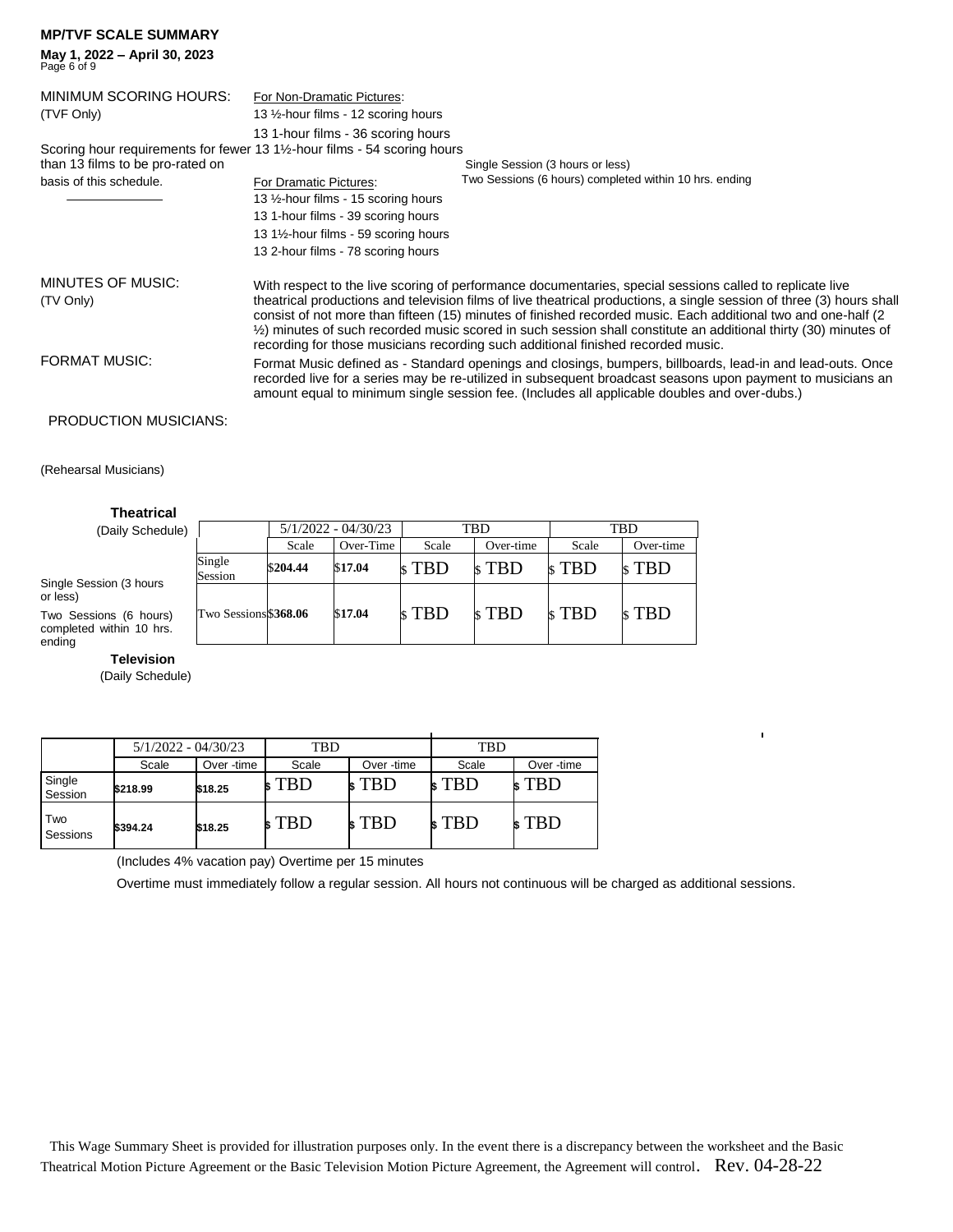**May 1, 2022 – April 30, 2023** Page 6 of 9

| MINIMUM SCORING HOURS:                                      | For Non-Dramatic Pictures:                                                                                                                                                                                                                                                                         |                                                                                                                                                                                                                                                                                                                                                                                                                                                                                                                                                                      |
|-------------------------------------------------------------|----------------------------------------------------------------------------------------------------------------------------------------------------------------------------------------------------------------------------------------------------------------------------------------------------|----------------------------------------------------------------------------------------------------------------------------------------------------------------------------------------------------------------------------------------------------------------------------------------------------------------------------------------------------------------------------------------------------------------------------------------------------------------------------------------------------------------------------------------------------------------------|
| (TVF Only)                                                  | 13 1/2-hour films - 12 scoring hours                                                                                                                                                                                                                                                               |                                                                                                                                                                                                                                                                                                                                                                                                                                                                                                                                                                      |
| than 13 films to be pro-rated on<br>basis of this schedule. | 13 1-hour films - 36 scoring hours<br>Scoring hour requirements for fewer 13 1½-hour films - 54 scoring hours<br>For Dramatic Pictures:<br>13 1/2-hour films - 15 scoring hours<br>13 1-hour films - 39 scoring hours<br>13 1½-hour films - 59 scoring hours<br>13 2-hour films - 78 scoring hours | Single Session (3 hours or less)<br>Two Sessions (6 hours) completed within 10 hrs. ending                                                                                                                                                                                                                                                                                                                                                                                                                                                                           |
| MINUTES OF MUSIC:<br>(TV Only)                              |                                                                                                                                                                                                                                                                                                    | With respect to the live scoring of performance documentaries, special sessions called to replicate live<br>theatrical productions and television films of live theatrical productions, a single session of three (3) hours shall<br>consist of not more than fifteen (15) minutes of finished recorded music. Each additional two and one-half (2)<br>$\frac{1}{2}$ minutes of such recorded music scored in such session shall constitute an additional thirty (30) minutes of<br>recording for those musicians recording such additional finished recorded music. |
| <b>FORMAT MUSIC:</b>                                        |                                                                                                                                                                                                                                                                                                    | Format Music defined as - Standard openings and closings, bumpers, billboards, lead-in and lead-outs. Once<br>recorded live for a series may be re-utilized in subsequent broadcast seasons upon payment to musicians an<br>amount equal to minimum single session fee. (Includes all applicable doubles and over-dubs.)                                                                                                                                                                                                                                             |
| <b>PRODUCTION MUSICIANS:</b>                                |                                                                                                                                                                                                                                                                                                    |                                                                                                                                                                                                                                                                                                                                                                                                                                                                                                                                                                      |

# (Rehearsal Musicians)

#### **Theatrical**

| (Daily Schedule)                                             |                       |          | $5/1/2022 - 04/30/23$ | TBD   |                   |                | TBD       |
|--------------------------------------------------------------|-----------------------|----------|-----------------------|-------|-------------------|----------------|-----------|
|                                                              |                       | Scale    | Over-Time             | Scale | Over-time         | Scale          | Over-time |
|                                                              | Single<br>Session     | \$204.44 | \$17.04               | TBD   | TBD               | TBD            | TBD       |
| Single Session (3 hours<br>or less)                          |                       |          |                       |       |                   |                |           |
| Two Sessions (6 hours)<br>completed within 10 hrs.<br>ending | Two Sessions \$368.06 |          | \$17.04               | s TBD | <b>TBD</b><br>\$. | $\sqrt{s}$ TBD | TBD       |

**Television**

(Daily Schedule)

|                   | $5/1/2022 - 04/30/23$ |            | TBD   |            | <b>TBD</b> |            |  |
|-------------------|-----------------------|------------|-------|------------|------------|------------|--|
|                   | Scale                 | Over -time | Scale | Over -time | Scale      | Over -time |  |
| Single<br>Session | \$218.99              | \$18.25    | TBD   | TBD        | TBD        | TBD        |  |
| Two<br>Sessions   | \$394.24              | \$18.25    | TBD   | <b>TBD</b> | TBD        | TBD        |  |

(Includes 4% vacation pay) Overtime per 15 minutes

Overtime must immediately follow a regular session. All hours not continuous will be charged as additional sessions.

 $\mathbf{r}$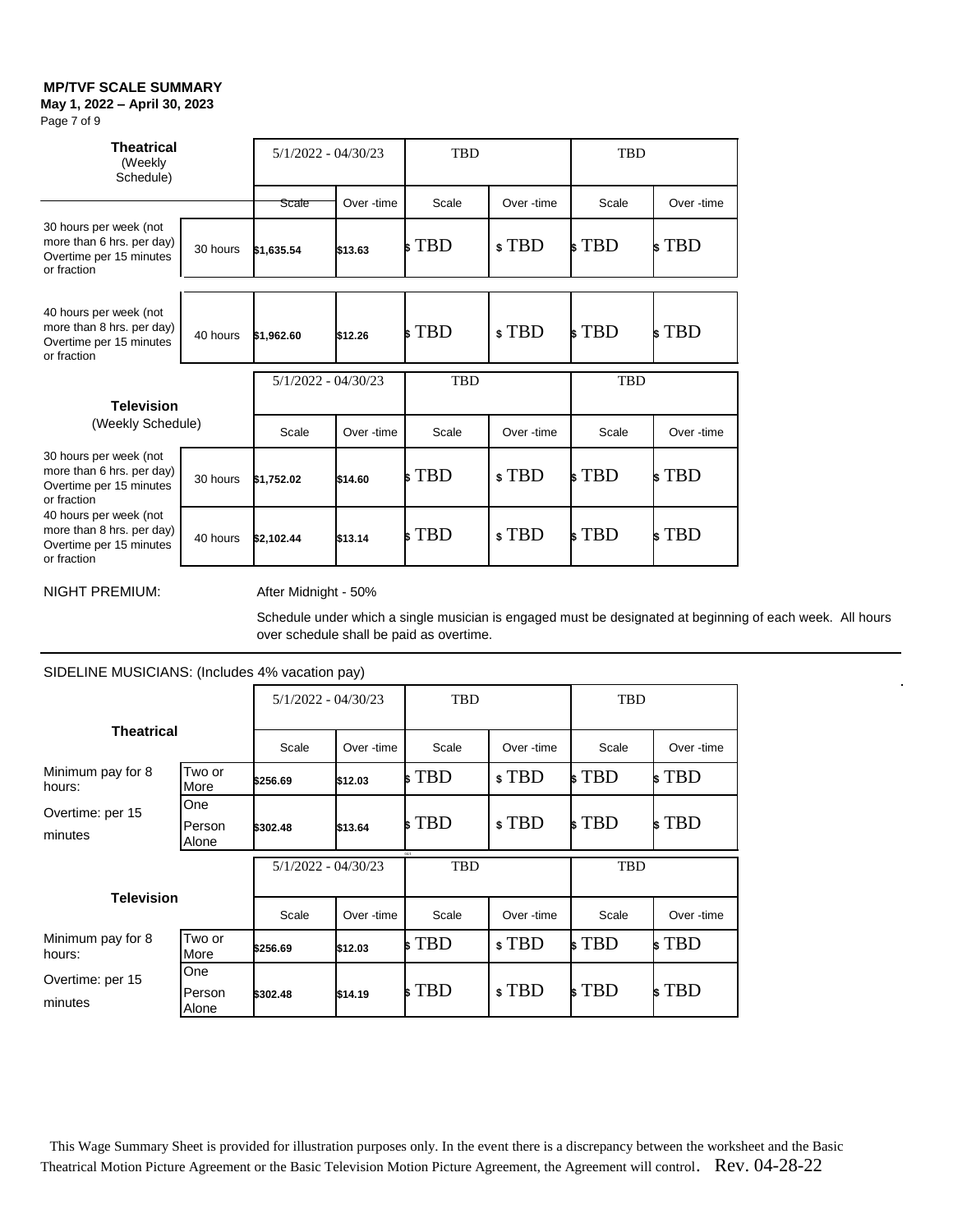### **May 1, 2022 – April 30, 2023**

Page 7 of 9

| <b>Theatrical</b><br>(Weekly<br>Schedule)                                                     |          | $5/1/2022 - 04/30/23$ |           | TBD              |            | <b>TBD</b> |                  |  |
|-----------------------------------------------------------------------------------------------|----------|-----------------------|-----------|------------------|------------|------------|------------------|--|
|                                                                                               |          | Over-time<br>Scale    |           | Scale            | Over -time | Scale      | Over-time        |  |
| 30 hours per week (not<br>more than 6 hrs. per day)<br>Overtime per 15 minutes<br>or fraction | 30 hours | \$1,635.54            | \$13.63   | <b>TBD</b><br>¢. | \$TBD      | \$TBD      | <b>TBD</b><br>k. |  |
| 40 hours per week (not<br>more than 8 hrs. per day)<br>Overtime per 15 minutes<br>or fraction | 40 hours | \$1,962.60            | \$12.26   | <b>TBD</b>       | \$TBD      | \$TBD      | <b>TBD</b><br>k. |  |
| <b>Television</b>                                                                             |          | $5/1/2022 - 04/30/23$ |           | TBD              |            | <b>TBD</b> |                  |  |
| (Weekly Schedule)                                                                             |          | Scale                 | Over-time | Scale            | Over -time | Scale      | Over -time       |  |
| 30 hours per week (not<br>more than 6 hrs. per day)<br>Overtime per 15 minutes<br>or fraction | 30 hours | \$1,752.02            | \$14.60   | <b>TBD</b><br>¢. | \$TBD      | \$TBD      | <b>TBD</b><br>k  |  |
| 40 hours per week (not<br>more than 8 hrs. per day)<br>Overtime per 15 minutes<br>or fraction | 40 hours | \$2,102.44            | \$13.14   | <b>TBD</b>       | \$TBD      | \$TBD      | <b>TBD</b>       |  |

NIGHT PREMIUM: After Midnight - 50%

Schedule under which a single musician is engaged must be designated at beginning of each week. All hours over schedule shall be paid as overtime.

| SIDELINE MUSICIANS: (Includes 4% vacation pay) |                        |                       |            |                  |            |                |            |
|------------------------------------------------|------------------------|-----------------------|------------|------------------|------------|----------------|------------|
| <b>Theatrical</b>                              |                        | $5/1/2022 - 04/30/23$ |            | TBD              |            | <b>TBD</b>     |            |
|                                                |                        | Scale                 | Over -time | Scale            | Over -time | Scale          | Over -time |
| Minimum pay for 8<br>hours:                    | Two or<br>More         | \$256.69              | \$12.03    | <b>TBD</b><br>Ś. | \$TBD      | <b>TBD</b>     | \$TBD      |
| Overtime: per 15<br>minutes                    | One<br>Person<br>Alone | \$302.48              | \$13.64    | $s$ $TBD$        | \$TBD      | $\sqrt{2}$ TBD | \$TBD      |
|                                                |                        | $5/1/2022 - 04/30/23$ |            | 04/1<br>TBD      |            | TBD            |            |
|                                                |                        |                       |            |                  |            |                |            |
| <b>Television</b>                              |                        | Scale                 | Over -time | Scale            | Over -time | Scale          | Over -time |
| Minimum pay for 8<br>hours:                    | Two or<br>More         | \$256.69              | \$12.03    | \$TBD            | \$TBD      | <b>TBD</b>     | \$TBD      |

# SIDELINE MUSICIANS: (Includes 4% vacation pay)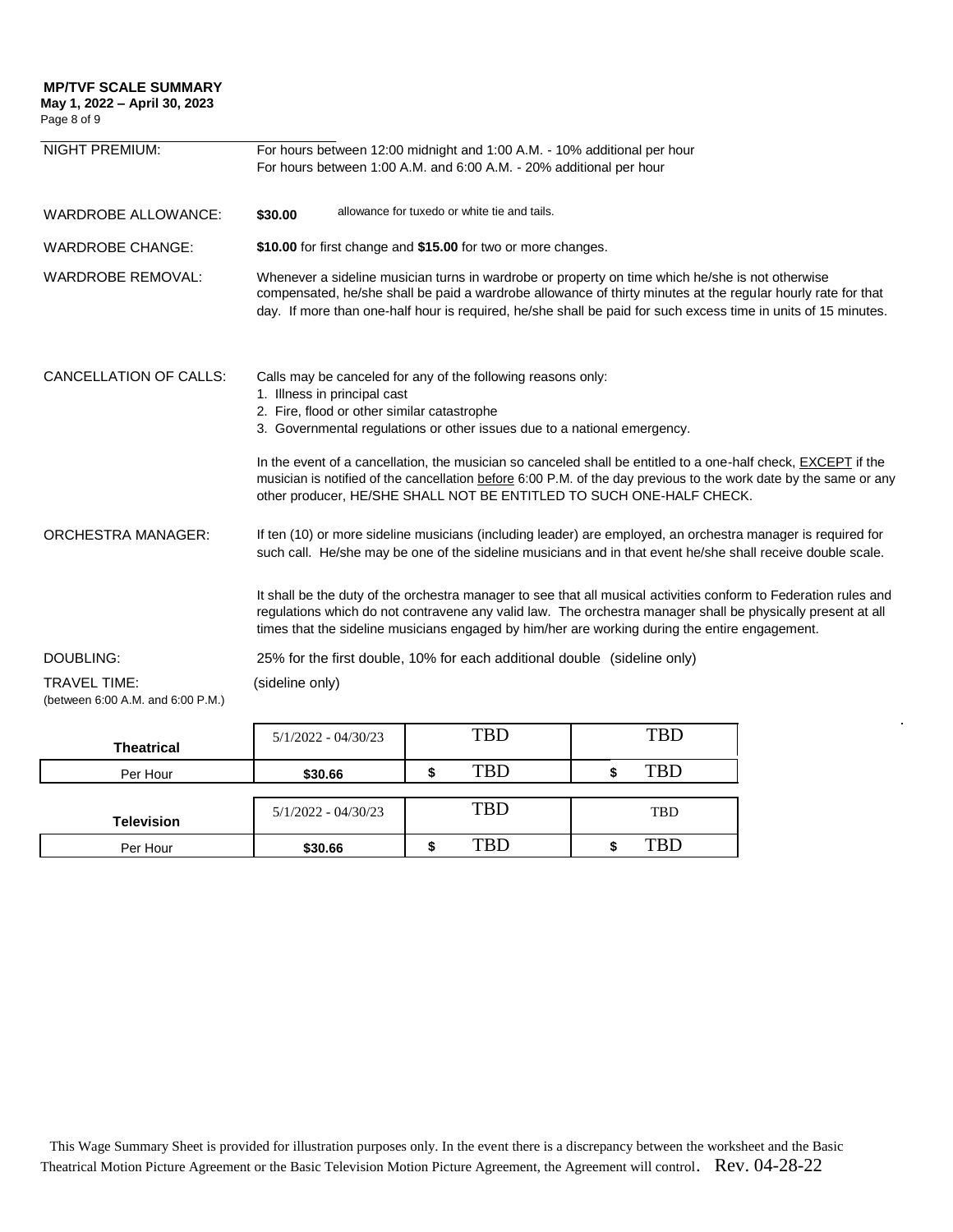## **May 1, 2022 – April 30, 2023**

Page 8 of 9

| <b>NIGHT PREMIUM:</b>                                    | For hours between 12:00 midnight and 1:00 A.M. - 10% additional per hour<br>For hours between 1:00 A.M. and 6:00 A.M. - 20% additional per hour                                                                                                                                                                                    |  |  |  |
|----------------------------------------------------------|------------------------------------------------------------------------------------------------------------------------------------------------------------------------------------------------------------------------------------------------------------------------------------------------------------------------------------|--|--|--|
| <b>WARDROBE ALLOWANCE:</b>                               | allowance for tuxedo or white tie and tails.<br>\$30.00                                                                                                                                                                                                                                                                            |  |  |  |
| <b>WARDROBE CHANGE:</b>                                  | \$10.00 for first change and \$15.00 for two or more changes.                                                                                                                                                                                                                                                                      |  |  |  |
| <b>WARDROBE REMOVAL:</b>                                 | Whenever a sideline musician turns in wardrobe or property on time which he/she is not otherwise<br>compensated, he/she shall be paid a wardrobe allowance of thirty minutes at the regular hourly rate for that<br>day. If more than one-half hour is required, he/she shall be paid for such excess time in units of 15 minutes. |  |  |  |
| <b>CANCELLATION OF CALLS:</b>                            | Calls may be canceled for any of the following reasons only:<br>1. Illness in principal cast<br>2. Fire, flood or other similar catastrophe<br>3. Governmental regulations or other issues due to a national emergency.                                                                                                            |  |  |  |
|                                                          | In the event of a cancellation, the musician so canceled shall be entitled to a one-half check, EXCEPT if the<br>musician is notified of the cancellation before 6:00 P.M. of the day previous to the work date by the same or any<br>other producer, HE/SHE SHALL NOT BE ENTITLED TO SUCH ONE-HALF CHECK.                         |  |  |  |
| <b>ORCHESTRA MANAGER:</b>                                | If ten (10) or more sideline musicians (including leader) are employed, an orchestra manager is required for<br>such call. He/she may be one of the sideline musicians and in that event he/she shall receive double scale.                                                                                                        |  |  |  |
|                                                          | It shall be the duty of the orchestra manager to see that all musical activities conform to Federation rules and<br>regulations which do not contravene any valid law. The orchestra manager shall be physically present at all<br>times that the sideline musicians engaged by him/her are working during the entire engagement.  |  |  |  |
| DOUBLING:                                                | 25% for the first double, 10% for each additional double (sideline only)                                                                                                                                                                                                                                                           |  |  |  |
| <b>TRAVEL TIME:</b><br>(between 6:00 A.M. and 6:00 P.M.) | (sideline only)                                                                                                                                                                                                                                                                                                                    |  |  |  |

| <b>Theatrical</b> | $5/1/2022 - 04/30/23$ |            | <b>TBD</b> | TBD        |
|-------------------|-----------------------|------------|------------|------------|
| Per Hour          | \$30.66               | <b>TBD</b> |            | TBD        |
|                   |                       |            |            |            |
| <b>Television</b> | $5/1/2022 - 04/30/23$ |            | <b>TBD</b> | <b>TBD</b> |
| Per Hour          | \$30.66               |            | TRD        | TBD        |